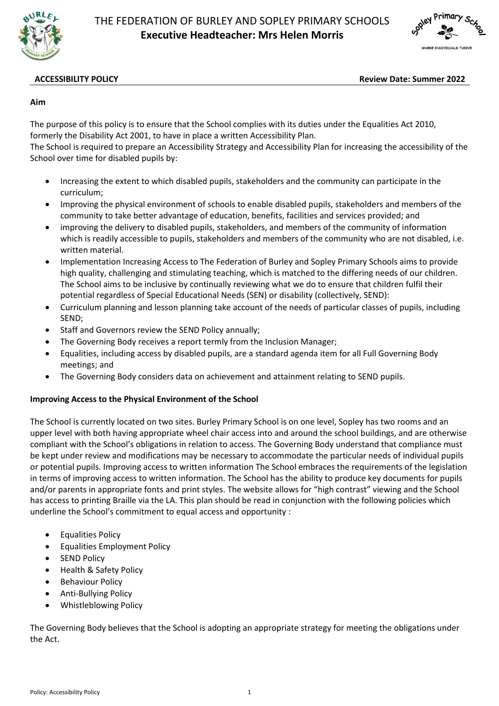



# **ACCESSIBILITY POLICY Review Date: Summer 2022**

### **Aim**

The purpose of this policy is to ensure that the School complies with its duties under the Equalities Act 2010, formerly the Disability Act 2001, to have in place a written Accessibility Plan.

The School is required to prepare an Accessibility Strategy and Accessibility Plan for increasing the accessibility of the School over time for disabled pupils by:

- Increasing the extent to which disabled pupils, stakeholders and the community can participate in the curriculum;
- Improving the physical environment of schools to enable disabled pupils, stakeholders and members of the community to take better advantage of education, benefits, facilities and services provided; and
- improving the delivery to disabled pupils, stakeholders, and members of the community of information which is readily accessible to pupils, stakeholders and members of the community who are not disabled, i.e. written material.
- Implementation Increasing Access to The Federation of Burley and Sopley Primary Schools aims to provide high quality, challenging and stimulating teaching, which is matched to the differing needs of our children. The School aims to be inclusive by continually reviewing what we do to ensure that children fulfil their potential regardless of Special Educational Needs (SEN) or disability (collectively, SEND):
- Curriculum planning and lesson planning take account of the needs of particular classes of pupils, including SEND;
- Staff and Governors review the SEND Policy annually;
- The Governing Body receives a report termly from the Inclusion Manager;
- Equalities, including access by disabled pupils, are a standard agenda item for all Full Governing Body meetings; and
- The Governing Body considers data on achievement and attainment relating to SEND pupils.

#### **Improving Access to the Physical Environment of the School**

The School is currently located on two sites. Burley Primary School is on one level, Sopley has two rooms and an upper level with both having appropriate wheel chair access into and around the school buildings, and are otherwise compliant with the School's obligations in relation to access. The Governing Body understand that compliance must be kept under review and modifications may be necessary to accommodate the particular needs of individual pupils or potential pupils. Improving access to written information The School embraces the requirements of the legislation in terms of improving access to written information. The School has the ability to produce key documents for pupils and/or parents in appropriate fonts and print styles. The website allows for "high contrast" viewing and the School has access to printing Braille via the LA. This plan should be read in conjunction with the following policies which underline the School's commitment to equal access and opportunity :

- Equalities Policy
- Equalities Employment Policy
- SEND Policy
- Health & Safety Policy
- Behaviour Policy
- Anti-Bullying Policy
- Whistleblowing Policy

The Governing Body believes that the School is adopting an appropriate strategy for meeting the obligations under the Act.